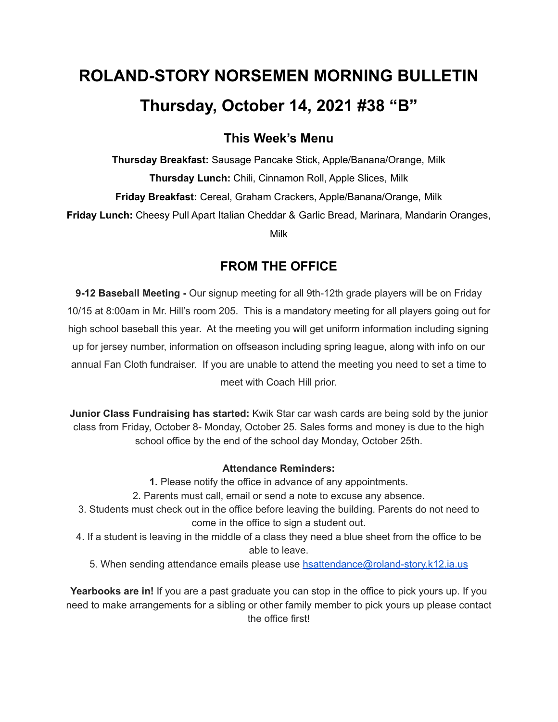# **ROLAND-STORY NORSEMEN MORNING BULLETIN Thursday, October 14, 2021 #38 "B"**

# **This Week's Menu**

**Thursday Breakfast:** Sausage Pancake Stick, Apple/Banana/Orange, Milk **Thursday Lunch:** Chili, Cinnamon Roll, Apple Slices, Milk **Friday Breakfast:** Cereal, Graham Crackers, Apple/Banana/Orange, Milk **Friday Lunch:** Cheesy Pull Apart Italian Cheddar & Garlic Bread, Marinara, Mandarin Oranges,

Milk

# **FROM THE OFFICE**

**9-12 Baseball Meeting -** Our signup meeting for all 9th-12th grade players will be on Friday 10/15 at 8:00am in Mr. Hill's room 205. This is a mandatory meeting for all players going out for high school baseball this year. At the meeting you will get uniform information including signing up for jersey number, information on offseason including spring league, along with info on our annual Fan Cloth fundraiser. If you are unable to attend the meeting you need to set a time to meet with Coach Hill prior.

**Junior Class Fundraising has started:** Kwik Star car wash cards are being sold by the junior class from Friday, October 8- Monday, October 25. Sales forms and money is due to the high school office by the end of the school day Monday, October 25th.

#### **Attendance Reminders:**

**1.** Please notify the office in advance of any appointments.

- 2. Parents must call, email or send a note to excuse any absence.
- 3. Students must check out in the office before leaving the building. Parents do not need to come in the office to sign a student out.
- 4. If a student is leaving in the middle of a class they need a blue sheet from the office to be able to leave.
	- 5. When sending attendance emails please use [hsattendance@roland-story.k12.ia.us](mailto:hsattendance@roland-story.k12.ia.us)

**Yearbooks are in!** If you are a past graduate you can stop in the office to pick yours up. If you need to make arrangements for a sibling or other family member to pick yours up please contact the office first!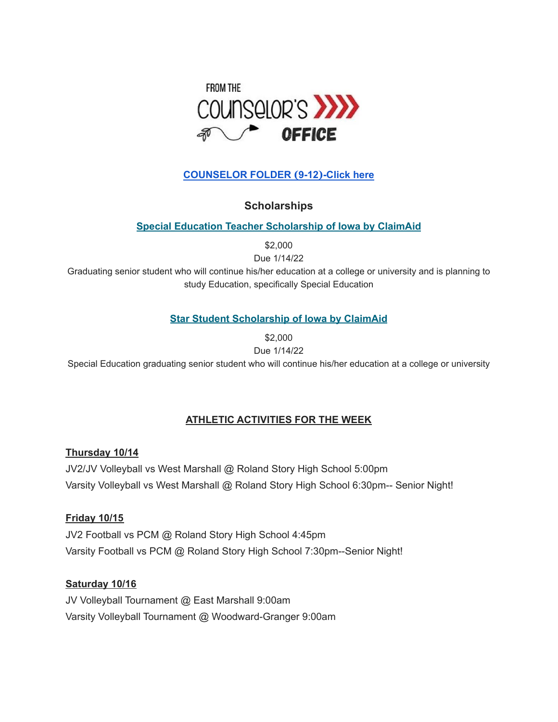

## **[COUNSELOR](https://docs.google.com/document/d/1vmwczNPbDzXe9vFaG5LJMQ7NYDv-i4oQJHybqA65TUc/edit?usp=sharing) FOLDER (9-12)-Click here**

## **Scholarships**

#### **Special Education Teacher [Scholarship](https://www.claimaid.com/se-teacher-scholarship/) of Iowa by ClaimAid**

\$2,000

Due 1/14/22

Graduating senior student who will continue his/her education at a college or university and is planning to study Education, specifically Special Education

## **Star Student [Scholarship](https://www.claimaid.com/star-student-scholarship/) of Iowa by ClaimAid**

\$2,000

Due 1/14/22

Special Education graduating senior student who will continue his/her education at a college or university

## **ATHLETIC ACTIVITIES FOR THE WEEK**

#### **Thursday 10/14**

JV2/JV Volleyball vs West Marshall @ Roland Story High School 5:00pm Varsity Volleyball vs West Marshall @ Roland Story High School 6:30pm-- Senior Night!

#### **Friday 10/15**

JV2 Football vs PCM @ Roland Story High School 4:45pm Varsity Football vs PCM @ Roland Story High School 7:30pm--Senior Night!

## **Saturday 10/16**

JV Volleyball Tournament @ East Marshall 9:00am Varsity Volleyball Tournament @ Woodward-Granger 9:00am